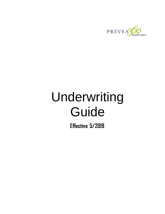

# Underwriting Guide

**Effective 5/2019**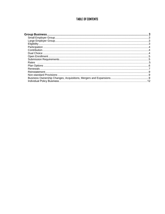# **TABLE OF CONTENTS**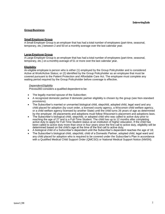# <span id="page-2-0"></span>**Group Business**

### <span id="page-2-1"></span>**Small Employer Group**

A Small Employer Group is an employer that has had a total number of employees (part-time, seasonal, temporary, etc.) between 2 and 50 on a monthly average over the last calendar year.

#### <span id="page-2-2"></span>**LargeEmployer Group**

A Large Employer Group is an employer that has had a total number of employees (part-time, seasonal, temporary, etc.) on a monthly average of 51 or more over the last calendar year.

#### <span id="page-2-3"></span>**Eligibility**

An eligible employee is person who is either (1) employed by the Group Policyholder and is considered Active at Work/Active Status; or (2) identified by the Group Policyholder as an employee that must be covered pursuant to the Patient Protection and Affordable Care Act. The employee must complete any waiting period required by the Group Policyholder before coverage is effective.

#### *DependentEligibility*

Prevea360 considers a qualified dependent to be:

- The legally married spouse of the Subscriber;
- A recognized domestic partner if domestic partner eligibility is chosen by the group (see Non-standard provisions).
- The Subscriber's married or unmarried biological child, stepchild, adopted child, legal ward and any child placed for adoption (by court order, a licensed county agency, a Wisconsin child welfare agency, or a child welfare agency licensed by another State) until the child turns 26 years of age as determined by the employer. All placements and adoptions must follow Wisconsin's placement and adoptions laws.
- The Subscriber's biological child, stepchild, or adopted child who was called to active duty prior to reaching the age of 27 and is a Full-Time Student. The child has up to 12 months after completing active duty to apply for Full-Time Student status at an institution of higher education. If the child has been called to active duty more than once in four years since the first call to active duty, eligibility will be determined based on the child's age at the time of the first call to active duty;
- A biological child of a Subscriber's dependent until the Subscriber's dependent reaches the age of 18;
- The Subscriber's biological child, stepchild, child of a Domestic Partner, adopted child, legal ward and any child placed for adoption who is required to be covered under the Subscriber's Plan in accordance with a Qualified Medical Child Support Order (QMCSO) or National Medical Support Notice (NMSN).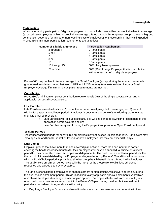# <span id="page-3-0"></span>**Participation**

When determining participation, "eligible employees" do not include those with other creditable health coverage (except those employees with other creditable coverage offered through this employer group); those with group continuation coverage (or any other non-working class of employees); or those serving their waiting period. Prevea360's minimum participation requirements are as follows:

| <b>Number of Eligible Employees</b> | <b>Participation Requirement</b>                                                              |
|-------------------------------------|-----------------------------------------------------------------------------------------------|
| 2 through 4                         | 2 Participants                                                                                |
| 5 or 6                              | 3 Participants                                                                                |
|                                     | 4 Participants                                                                                |
| 8 or 9                              | 5 Participants                                                                                |
| 10                                  | 6 Participants                                                                                |
| 11 through 25                       | 50% of eligible employees                                                                     |
| 26 or more                          | 50% (20% if Large Employer that is dual choice<br>with another carrier) of eligible employees |

Prevea360 may decline to issue coverage to a Small Employer (except during the annual one-month guaranteed enrollment period between 11/15 and 12/15) or may terminate existing Large or Small Employer coverage if minimum participation requirements are not met.

# <span id="page-3-1"></span>**Contribution**

Prevea360's minimum employer contribution requirement is 25% of the single coverage cost and is applicable across all coverage tiers.

#### **Late Enrollees**

Late Enrollees are individuals who 1) did not enroll when initially eligible for coverage; and 2) are not eligible for a special enrollment period. Employer Groups may elect one of the following provisions as their late enrollee provision:

- $\circ$  Late Enrollees will be subject to a 90 day waiting period following the receipt date of the application before coverage begins
- $\circ$  Late Enrollees may enroll during the Employer Group's annual Open Enrollment period

#### **Waiting Periods**

Insurance waiting periods for newly hired employees may not exceed 90 calendar days. Employers may also apply an additional Orientation Period for new employees that may not exceed 30 days.

#### <span id="page-3-2"></span>**Dual Choice**

Employer groups that have more than one covered plan option or more than one insurance carrier covering the health insurance benefits for their employees will have an annual dual choice enrollment period for their currently covered employees and dependents. The dual choice enrollment period shall be the period of time established by the Employer and agreed upon by Prevea360 and it shall be consistent with the Dual Choice period applicable to all other group health benefit plans offered by the Employer. The dual choice enrollment period is typically the month of the group's renewal unless otherwise requested and agreed upon by Prevea360.

The Employer shall permit employees to change carriers or plan options, whichever applicable, during this dual choice enrollment period. This is in addition to any applicable special enrollment event which also allows employees to change carriers or plan options. Employees that enroll from the employer's other dual choice insurance carrier plan into the Prevea360 plan during the dual choice enrollment period are considered timely add-ons to the policy.

Only Large Employer Groups are allowed to offer more than one insurance carrier option to their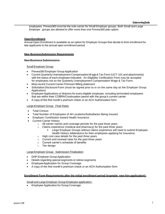employees. Prevea360 must be the sole carrier for Small Employer groups. Both Small and Large Employer groups are allowed to offer more than one Prevea360 plan option.

# <span id="page-4-0"></span>**OpenEnrollment**

Annual Open Enrollment is available as an option for Employer Groups that decide to limit enrollment for late applicants to the annual open enrollment period.

#### <span id="page-4-1"></span>**New BusinessSubmission Requirements**

#### **New Business Submissions:**

SmallEmployer Group:

- Prevea360 Employer Group Application
- Current Quarterly Unemployment CompensationWage& Tax Form (UCT-101 and attachments) with the status of each employee indicated. An Eligibility Certification Form may be accepted for employees not on the Quarterly Unemployment Compensation Wage & Tax Form.
- Most recent Current Carrier Premium Billing statement
- Solicitation Disclosure Form (must be signed prior to or on the same day as the Employer Group Application)
- Employee Applications or Waivers for every eligible employee, including terminated employees that are within their COBRA/Continuation period with the group's current carrier
- A copy of the first month's premium check or an ACH Authorization form

#### Large Employer Group: Final Rates

- Total Census
- Total Number of Employees of All Locations/Subsidiaries Being Insured
- Employer Contribution toward Health Insurance
- Current Carrier History
	- o All carrier names and coverage periods for the past three years
	- o Claims experience (medical and pharmacy) for the past three years
		- Large Employer Groups without claims experience will need to submit Employee Health History Addendums for their employees applying for insurance.
	- o High cost case details for the past three years
	- o Current and renewal rates for the past three years
	- o Current carrier's schedule of benefits
	- o Tier design

#### Large Employer Group: Submission Finalization

- DHP Employer Group Application
- De*tai*ls regarding special segments or retiree segments
- EmployeeApplication for Group Coverage
- A copy of the first month's premium check or an ACH Authorization form

#### **Enrollment Form Requirements afterthe initial enrollment period (example: new hire application):**

Small and Large Employer Group Employee application:

Employee Application for Group Coverage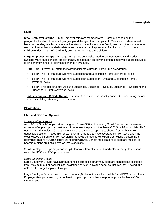# <span id="page-5-0"></span>**Rates**

**Small Employer Groups -** Small Employer rates are member rated. Rates are based on the geographic location of the employer group and the age of each applicant. Rates are not determined based on gender, health status or smoker status. If employees have family members, the single rate for each family member is added to determine the overall family premium. Families with four or more children under the age of 20 will only be charged for up to three children.

**Large Employer Groups –** All Large Groups are composite rated. Rate methodology and product availability are based on total employer size, age, gender, employer location, employees addresses, mix of single/family, and prior claims experience if available.

**Rate Tiers** – Prevea360 offers the following tier structures for Large Employer groups:

- **2-Tier:** This Tier structure will have Subscriber and Subscriber + Family coverage levels.
- **3-Tier:** This Tier structure will have Subscriber, Subscriber + One and Subscriber + Family coveragelevels.
- **4-Tier:** This Tier structure will have Subscriber, Subscriber + Spouse, Subscriber + Child(ren) and Subscriber + Family coverage levels.

**Industry and/or SIC Code Rating** - Prevea360 does not use industry and/or SIC code rating factors when calculating rates for group business.

# <span id="page-5-1"></span>**Plan Options**

#### **HMO and POS Plan Options**

#### *Small Employer Groups*

As of 1/1/14 Small Groups first enrolling with Prevea360 and renewing Small Groups that choose to move to ACA plan options must select from one of the plans in the Prevea360 Small Group "Metal Tier" options. Small Employer Groups have a wide variety of plan options to choose from with a variety of deductible options. Prevea360 renewing Small Groups that have coverage on Pre-ACA plans may elect to keep their current Pre-ACA plan for renewal periods up to the point that the federal government determines that Pre-ACA plan options are no longer allowed. Benefit modifications to standard medical or pharmacy plans are not allowed on Pre-ACA plans.

Small Employer Groups may choose up to four (4) different standard medical/pharmacy plan options within the HMO and POS product lines.

#### *LargeEmployer Groups*

Large Employer Groups have a broader choice of medical/pharmacy standard plan options to choose from. Maximum out-of-pocket limits, as defined by ACA, drive the benefit structures that Prevea360 is able to offer Large Employer Groups.

Large Employer Groups may choose up to four (4) plan options within the HMO and POS product lines. Employer Groups requesting more than four plan options will require prior approval by Prevea360 Underwriting.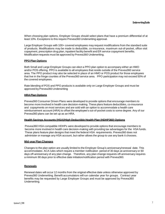When choosing plan options, Employer Groups should select plans that have a premium differential of at least 10%. Exceptions to this require Prevea360 Underwriting approval.

Large Employer Groups with 100+ covered employees may request modifications from the standard suite of products. Modifications may be made to deductible, co-insurance, maximum out-of-pocket, office visit copayment, prescription drug plan, inpatient facility benefit and ER service copayment benefits. Modification requests must be approved by Prevea360 Underwriting.

#### **PPO Plan Options**

Both Small and Large Employer Groups can elect a PPO plan option to accompany either an HMO and/or POS offering. PPO is available to all employees that reside outside of the Prevea360 service area. The PPO product may also be selected in place of an HMO or POS product for those employees that live in the fringe counties of the Prevea360 service area. PPO participation may not exceed 50% of the covered employees.

Rate blending of POS and PPO products is available only on Large Employer Groups and must be approved by Prevea360 Underwriting

#### **HRA Plan Options**

Prevea360 Consumer Driven Plans were developed to provide options that encourage members to become more involved in health care decision-making. These plans feature deductibles, co-insurance and copayments on most services and are sold with an option to accommodate a health care reimbursement account (HRA) to offset the employee's out-of-pocket costs to some degree. Any of our Prevea360 plans can be set up as an HRA.

#### **Health Savings Accounts (HSA)/High Deductible Health Plan (HDHP360) Options**

Prevea360 HSA compatible HDHPs were developed to provide options that encourage members to become more involved in health care decision-making with providing tax advantages for the HSA funds. These plans feature plan designs that meet the federal HSA requirements. Prevea360 does not administer or manage any HSA account, but rather allows the group to use any bank it chooses.

#### **Mid-year Plan Changes**

Changes to the plan option are usually limited to the Employer Group's anniversary/renewal date. This accommodates ACA rules which require a member notification period of 30 days at-anniversary or 60 days off-anniversary of any plan change. Therefore, any plan change requests off-anniversary requires a minimum 90 days prior to effective date initiation/notification period with Prevea360.

#### <span id="page-6-0"></span>**Renewals**

Renewal dates will occur 12 months from the original effective date unless otherwise approved by Prevea360 Underwriting. Benefit accumulators will run calendar year for groups. Contract year benefits may be requested by Large Employer Groups and must be approved by Prevea360 Underwriting.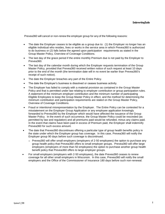Prevea360 will cancel or non-renew the employer group for any of the following reasons:

- The date the Employer ceases to be eligible as a group due to: (1) the Employer no longer has an eligible individual who resides, lives or works in the service area in which Prevea360 is authorized to do business or (2) falls below the agreed upon participation requirements as stated in the Group Master Policy, Overview of Coverage Conditions.
- The last day of the grace period if the entire monthly Premium due is not paid by the Employer to Prevea360.
- The last day of the calendar month during which the Employer requests termination of the Group Master Policy, provided that Prevea360 received written notice of such request at least 10 days prior to the end of the month (the termination date will in no event be earlier than Prevea360's receipt of such notice).
- The date the Employer breaches any part of the Entire Policy.
- The date the Employer's business is dissolved or ceases business activity.
- The Employer has failed to comply with a material provision as contained in the Group Master Policy and that is permitted under law relating to employer contribution or group participation rules. A statement of the minimum employer contribution and the minimum number of participating Eligible Employees to keep the Group Master Policy in effect, and the method for determining the minimum contribution and participation requirements are stated on the Group Master Policy, Overview of Coverage Conditions.
- Fraud or intentional misrepresentation by the Employer. The Entire Policy can be contested for a misstatement on the Employer Group Application or any employee application knowingly forwarded to Prevea360 by the Employer which would have affected the issuance of the Group Master Policy. In the event of such occurrence, the Group Master Policy could be rescinded (as permitted by law and regulation) and all premiums paid would be refunded, minus any claims paid. In the event that claims have been paid in excess of Premium paid, the Employer shall indemnify Prevea360 for such excess amount.
- The date that Prevea360 discontinues offering a particular type of group health benefits policy in the state under which the Employer group has coverage. In this case, Prevea360 will notify the Employer group 90 days before such coverage is discontinued.
	- $\circ$  Prevea360 will offer small employers (employers of 2-50 employees) the option to purchase any group health policy that Prevea360 offers to small employer groups. Prevea360 will offer large employers (employers of more than 50 employees) the option to purchase another group health benefit policy that Prevea360 offers to large employer groups.
- For small employers (employers with 2-50 employees), the date Prevea360 ceases to renew coverage for all other small employers in Wisconsin. In this case, Prevea360 will notify the small employers and the Office of the Commissioner of Insurance 180 days before such non-renewal.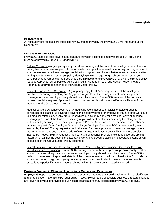# <span id="page-8-0"></span>**Reinstatement**

All reinstatement requests are subject to review and approval by the Prevea360 Enrollment and Billing Department.

#### <span id="page-8-1"></span>**Non-standard Provisions**

Prevea360 is able to offer several non-standard provision options to employer groups. All provisions must be approved by Prevea360 Underwriting.

Retiree Coverage – A group may apply for retiree coverage at the time of the initial group enrollment or during their annual renewal period to become effective upon the renewal date. Any group, regardless of size, may request a retiree coverage provision for long-term employees that retire either before or after turning age 65. A written employer policy identifying minimum age, length of service and employer contribution requirements for retirees should be in place prior to Prevea360's review of the retiree policy request. Approved retiree policies will be outlined in "Addendum to Group Master Policy – Retiree Addendum" and will be attached to the Group Master Policy.

Domestic Partner (DP) Coverage – A group may apply for DP coverage at time of the initial group enrollment or during their plan year. Any group, regardless of size, may request domestic partner coverage. A written employer policy should be in place prior to Prevea360's review of the domestic partner provision request. Approved domestic partner policies will have the Domestic Partner Rider attached to the Group Master Policy.

Medical Leave of Absence Coverage - A medical leave of absence provision enables groups to continue medical and drug coverage beyond the last day worked for employees that are off of work due to a medical-related leave. Any group, regardless of size, may apply for a medical leave of absence coverage provision at the time of the initial group enrollment or at any time during the plan year. A written employer policy should be in place prior to Prevea360's review of the medical leave of absence provision request. Small Employer Groups or Large Employer Groups with 50 or fewer employees insured by Prevea360 may request a medical leave of absence provision to extend coverage up to a maximum of 60 days beyond the last day of work. Large Employer Groups with 51 or more employees insured by Prevea360 may request a medical leave of absence provision to extend coverage up to a maximum of 12 months beyond the last day of work. If approved, details of the coverage extension will be outlined in the Group Master Policy document.

Lay-off Provision, Part-time to Full-time Employee Provision, Rehire Provision, Severance Provision and Military Leave Provision – Prevea360 is willing to work with Employer Groups on a variety of other special provisions they may need. A written employer policy should be in place prior to Prevea360's review of the request. If approved, details of the coverage extension will be outlined in the Group Master Policy document. Large employer groups may not require a rehired full-time employee to serve the probationary period if that employee is rehired within 13 weeks from the last day worked.

#### <span id="page-8-2"></span>**Business Ownership Changes, Acquisitions, Mergers and Expansions**

Employer Groups may be faced with business structure changes that could involve additional clarification and/or application materials to be required by Prevea360 scenarios of possible business structure changes are given below but other types of business reorganizations may also require Prevea360 approval.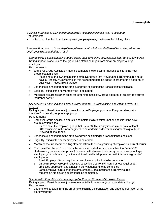### *Business Purchase or Ownership Change with no additional employees to be added* Requirements:

Letter of explanation from the employer group explaining the transaction taking place.

#### *Business Purchase or Ownership Change/New Location being added/New Class being added and employees will be added as a result*

*Scenario #1: Population being added is less than 10% of the active population Prevea360 insures:* Rating Impact: None unless the group size status changes from small employer to large employer

Requirements:

- Employer Group Application must be completed to reflect information specific to the new group/location/class
	- $\circ$  Please note, the ownership of the employer group that Prevea 360 currently insures must have at least 50% ownership in this new segment to be added in order for this segment to qualify for Prevea360 insurance.
- Letter of explanation from the employer group explaining the transaction taking place
- Eligibility listing of the new employees to be added
- Most recent current carrier billing statement from this new group segment of employee's current insurance carrier

#### *Scenario #2: Population being added is greater than 10% of the active population Prevea360 insures:*

Rating Impact: Possible rate adjustment for Large Employer groups or if a group size status changes from small group to large group

Requirements:

- Employer Group Application must be completed to reflect information specific to the new group/location/class
	- $\circ$  Please note, the employer group that Prevea360 currently insures must have at least 50% ownership in this new segment to be added in order for this segment to qualify for Prevea360 insurance.
- Letter of explanation from the employer group explaining the transaction taking place
- Eligibility listing of the new employees to be added
- Most recent current carrier billing statement from this new grouping of employee's current carrier
- Employee Enrollment Forms must be submitted as follows and are subject to Prevea360 Underwriting review and approval (please note that revised rates may be necessary for large employer groups depending on the additional health risk presented with this new segment of employees):
	- o Small Employer Group requires an employee application to be completed.
	- o Large Employer Group that has100 subscribers currently insured or less requires an employee application and a health history addendum to be completed
	- $\circ$  Large Employer Group that has greater than 100 subscribers currently insured requires an employee application to be completed.

#### *Scenario #3: Partial Sale/Partnership Split of Prevea360 Insured Employer Group:*

Rating Impact: Possible rate adjustment (especially if there is a group size status change) Requirements:

 Letter of explanation from the group(s) explaining the transaction and ongoing operation of the employer group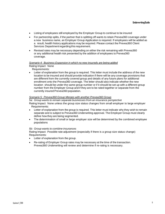- Listing of employees still employed by the Employer Group to continue to be insured
- For partnership splits, if the partner that is splitting off wants to retain Prevea360 coverage under a new business name, an Employer Group Application is required. If employees will be added as a result, health history applications may be required. Please contact the Prevea360 Client Services Department regarding this requirement.
- Revised rates may be necessary depending on either the risk remaining with Prevea360 or any additional health risk presented by the addition of employees to Prevea360 coverage.

#### *Scenario 4: Business Expansion in which no new insureds are being added*

Rating Impact: None

Requirements:

 Letter of explanation from the group is required. This letter must include the address of the new location to be insured and should provide indication if there will be any coverage provisions that are different from the currently covered group and details of any future plans for additional enrollment onto the Prevea360 coverage. The letter should also indicate whether the new location should be under the same group number or if it should be set up with a different group number from the Employer Group and if they are to be rated together or separate from the currently insured Prevea360 population.

#### *Scenario 5: Prevea360 Group Merges with another Prevea360 Group*

*5a: Group wants to remain separate businesses from an insurance perspective* Rating Impact: None unless the group size status changes from small employer to large employer Requirements:

- Letter of explanation from the group is required. This letter must indicate why they wish to remain separate and is subject to Prevea360 Underwriting approval. The Employer Group must clearly define how they are being segmented.
- The determination of small or large employer size will be determined by the combined employee populations

#### *5b: Group wants to combine insurances*

Rating Impact: Possible rate adjustment (especially if there is a group size status change) Requirements:

- Letter of explanation from the group.
- Re-rating of Employer Group rates may be necessary at the time of the transaction. Prevea360 Underwriting will review and determine if re-rating is necessary.